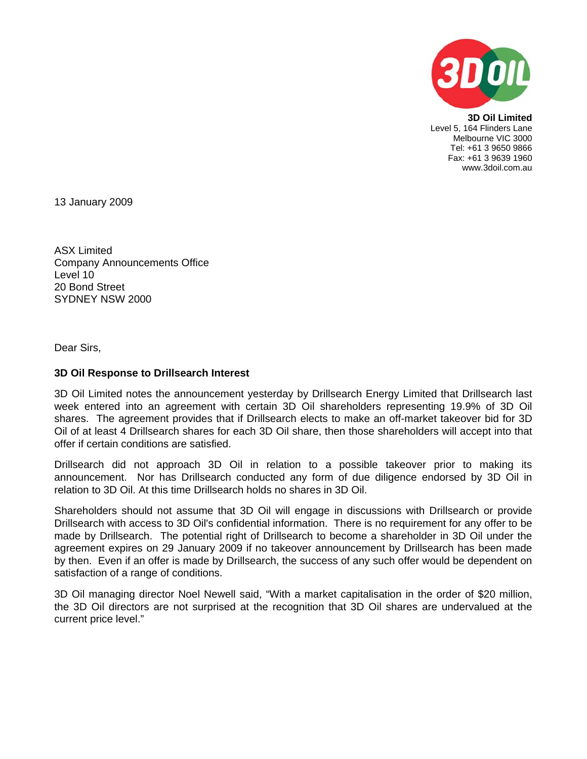

**3D Oil Limited**  Level 5, 164 Flinders Lane Melbourne VIC 3000 Tel: +61 3 9650 9866 Fax: +61 3 9639 1960 www.3doil.com.au

13 January 2009

ASX Limited Company Announcements Office Level 10 20 Bond Street SYDNEY NSW 2000

Dear Sirs,

## **3D Oil Response to Drillsearch Interest**

3D Oil Limited notes the announcement yesterday by Drillsearch Energy Limited that Drillsearch last week entered into an agreement with certain 3D Oil shareholders representing 19.9% of 3D Oil shares. The agreement provides that if Drillsearch elects to make an off-market takeover bid for 3D Oil of at least 4 Drillsearch shares for each 3D Oil share, then those shareholders will accept into that offer if certain conditions are satisfied.

Drillsearch did not approach 3D Oil in relation to a possible takeover prior to making its announcement. Nor has Drillsearch conducted any form of due diligence endorsed by 3D Oil in relation to 3D Oil. At this time Drillsearch holds no shares in 3D Oil.

Shareholders should not assume that 3D Oil will engage in discussions with Drillsearch or provide Drillsearch with access to 3D Oil's confidential information. There is no requirement for any offer to be made by Drillsearch. The potential right of Drillsearch to become a shareholder in 3D Oil under the agreement expires on 29 January 2009 if no takeover announcement by Drillsearch has been made by then. Even if an offer is made by Drillsearch, the success of any such offer would be dependent on satisfaction of a range of conditions.

3D Oil managing director Noel Newell said, "With a market capitalisation in the order of \$20 million, the 3D Oil directors are not surprised at the recognition that 3D Oil shares are undervalued at the current price level."